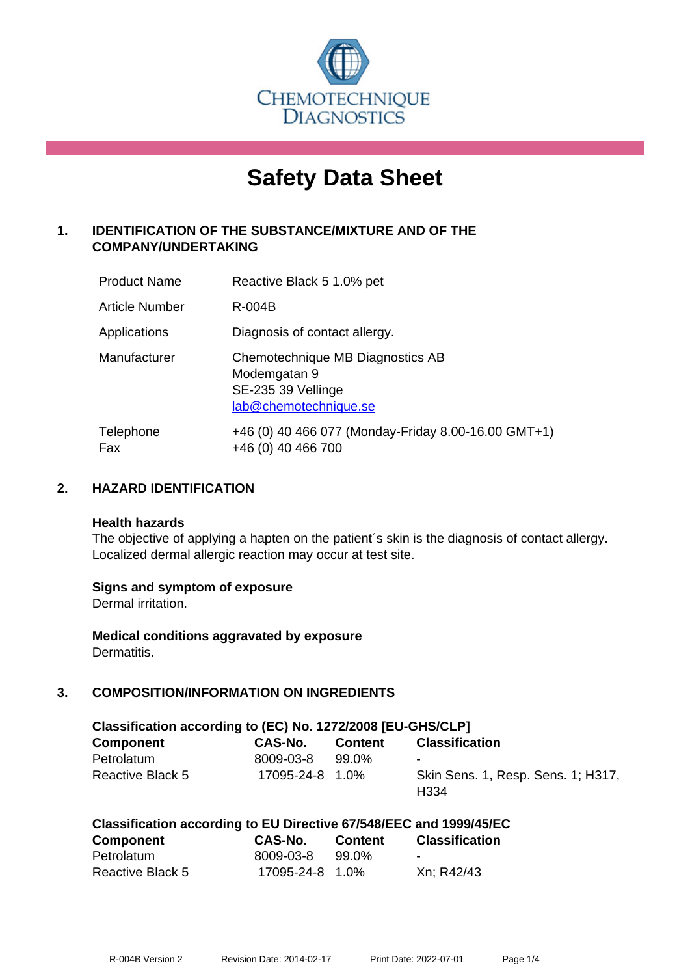

# **Safety Data Sheet**

# **1. IDENTIFICATION OF THE SUBSTANCE/MIXTURE AND OF THE COMPANY/UNDERTAKING**

| <b>Product Name</b>   | Reactive Black 5 1.0% pet                                                                       |
|-----------------------|-------------------------------------------------------------------------------------------------|
| <b>Article Number</b> | R-004B                                                                                          |
| Applications          | Diagnosis of contact allergy.                                                                   |
| Manufacturer          | Chemotechnique MB Diagnostics AB<br>Modemgatan 9<br>SE-235 39 Vellinge<br>lab@chemotechnique.se |
| Telephone<br>Fax      | +46 (0) 40 466 077 (Monday-Friday 8.00-16.00 GMT+1)<br>+46 (0) 40 466 700                       |

## **2. HAZARD IDENTIFICATION**

#### **Health hazards**

The objective of applying a hapten on the patient's skin is the diagnosis of contact allergy. Localized dermal allergic reaction may occur at test site.

## **Signs and symptom of exposure**

Dermal irritation.

**Medical conditions aggravated by exposure** Dermatitis.

# **3. COMPOSITION/INFORMATION ON INGREDIENTS**

| Classification according to (EC) No. 1272/2008 [EU-GHS/CLP] |                       |         |                                                        |  |
|-------------------------------------------------------------|-----------------------|---------|--------------------------------------------------------|--|
| <b>Component</b>                                            | CAS-No.               | Content | <b>Classification</b>                                  |  |
| Petrolatum                                                  | 8009-03-8             | 99.0%   | $\blacksquare$                                         |  |
| Reactive Black 5                                            | $17095 - 24 - 8$ 1.0% |         | Skin Sens. 1, Resp. Sens. 1; H317,<br>H <sub>334</sub> |  |

|           | Classification according to EU Directive 67/548/EEC and 1999/45/EC |            |                |
|-----------|--------------------------------------------------------------------|------------|----------------|
| Component | CAS-No                                                             | $C$ ontant | Claccification |

| <b>Component</b>        | <b>CAS-No.</b>  | <b>Content</b> | <b>Classification</b>    |
|-------------------------|-----------------|----------------|--------------------------|
| Petrolatum              | 8009-03-8       | 99.0%          | $\overline{\phantom{0}}$ |
| <b>Reactive Black 5</b> | 17095-24-8 1.0% |                | Xn; R42/43               |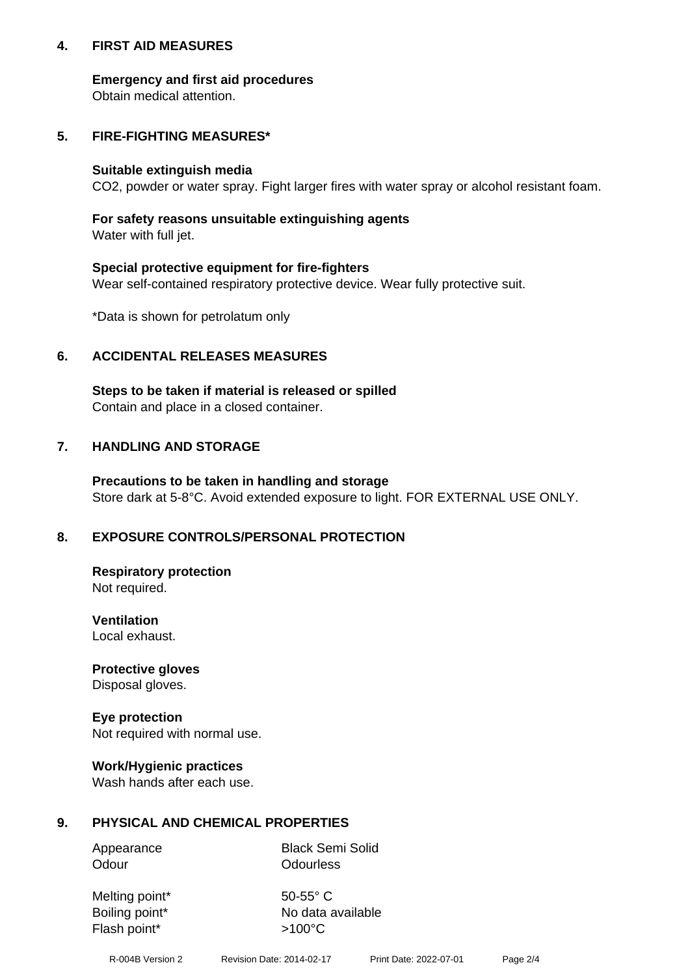## **4. FIRST AID MEASURES**

## **Emergency and first aid procedures**

Obtain medical attention.

# **5. FIRE-FIGHTING MEASURES\***

#### **Suitable extinguish media**

CO2, powder or water spray. Fight larger fires with water spray or alcohol resistant foam.

# **For safety reasons unsuitable extinguishing agents**

Water with full jet.

## **Special protective equipment for fire-fighters**

Wear self-contained respiratory protective device. Wear fully protective suit.

\*Data is shown for petrolatum only

## **6. ACCIDENTAL RELEASES MEASURES**

**Steps to be taken if material is released or spilled** Contain and place in a closed container.

# **7. HANDLING AND STORAGE**

**Precautions to be taken in handling and storage** Store dark at 5-8°C. Avoid extended exposure to light. FOR EXTERNAL USE ONLY.

# **8. EXPOSURE CONTROLS/PERSONAL PROTECTION**

**Respiratory protection** Not required.

**Ventilation** Local exhaust.

**Protective gloves** Disposal gloves.

#### **Eye protection** Not required with normal use.

## **Work/Hygienic practices**

Wash hands after each use.

## **9. PHYSICAL AND CHEMICAL PROPERTIES**

Odour **Odourless** 

Appearance Black Semi Solid

Melting point\* 50-55° C Flash point\*  $>100^{\circ}$ C

Boiling point\* No data available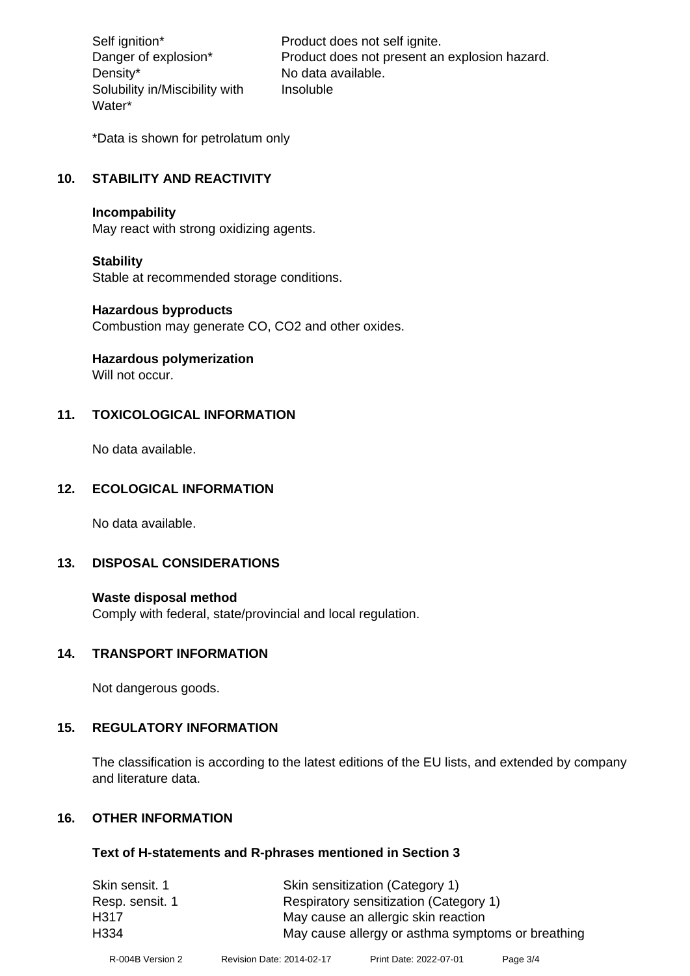Density\* No data available. Solubility in/Miscibility with Water\*

Self ignition\* Product does not self ignite. Danger of explosion\* Product does not present an explosion hazard. Insoluble

\*Data is shown for petrolatum only

# **10. STABILITY AND REACTIVITY**

#### **Incompability**

May react with strong oxidizing agents.

#### **Stability**

Stable at recommended storage conditions.

#### **Hazardous byproducts**

Combustion may generate CO, CO2 and other oxides.

**Hazardous polymerization**

Will not occur.

## **11. TOXICOLOGICAL INFORMATION**

No data available.

## **12. ECOLOGICAL INFORMATION**

No data available.

## **13. DISPOSAL CONSIDERATIONS**

#### **Waste disposal method**

Comply with federal, state/provincial and local regulation.

#### **14. TRANSPORT INFORMATION**

Not dangerous goods.

## **15. REGULATORY INFORMATION**

The classification is according to the latest editions of the EU lists, and extended by company and literature data.

## **16. OTHER INFORMATION**

#### **Text of H-statements and R-phrases mentioned in Section 3**

| Skin sensitization (Category 1)                   |
|---------------------------------------------------|
| Respiratory sensitization (Category 1)            |
| May cause an allergic skin reaction               |
| May cause allergy or asthma symptoms or breathing |
|                                                   |